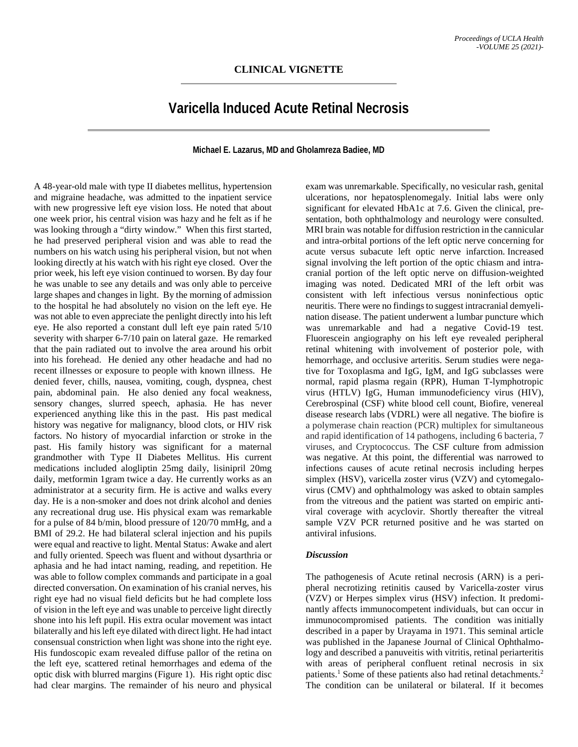## **Varicella Induced Acute Retinal Necrosis**

## **Michael E. Lazarus, MD and Gholamreza Badiee, MD**

A 48-year-old male with type II diabetes mellitus, hypertension and migraine headache, was admitted to the inpatient service with new progressive left eye vision loss. He noted that about one week prior, his central vision was hazy and he felt as if he was looking through a "dirty window." When this first started, he had preserved peripheral vision and was able to read the numbers on his watch using his peripheral vision, but not when looking directly at his watch with his right eye closed. Over the prior week, his left eye vision continued to worsen. By day four he was unable to see any details and was only able to perceive large shapes and changes in light. By the morning of admission to the hospital he had absolutely no vision on the left eye. He was not able to even appreciate the penlight directly into his left eye. He also reported a constant dull left eye pain rated 5/10 severity with sharper 6-7/10 pain on lateral gaze. He remarked that the pain radiated out to involve the area around his orbit into his forehead. He denied any other headache and had no recent illnesses or exposure to people with known illness. He denied fever, chills, nausea, vomiting, cough, dyspnea, chest pain, abdominal pain. He also denied any focal weakness, sensory changes, slurred speech, aphasia. He has never experienced anything like this in the past. His past medical history was negative for malignancy, blood clots, or HIV risk factors. No history of myocardial infarction or stroke in the past. His family history was significant for a maternal grandmother with Type II Diabetes Mellitus. His current medications included alogliptin 25mg daily, lisinipril 20mg daily, metformin 1gram twice a day. He currently works as an administrator at a security firm. He is active and walks every day. He is a non-smoker and does not drink alcohol and denies any recreational drug use. His physical exam was remarkable for a pulse of 84 b/min, blood pressure of 120/70 mmHg, and a BMI of 29.2. He had bilateral scleral injection and his pupils were equal and reactive to light. Mental Status: Awake and alert and fully oriented. Speech was fluent and without dysarthria or aphasia and he had intact naming, reading, and repetition. He was able to follow complex commands and participate in a goal directed conversation. On examination of his cranial nerves, his right eye had no visual field deficits but he had complete loss of vision in the left eye and was unable to perceive light directly shone into his left pupil. His extra ocular movement was intact bilaterally and his left eye dilated with direct light. He had intact consensual constriction when light was shone into the right eye. His fundoscopic exam revealed diffuse pallor of the retina on the left eye, scattered retinal hemorrhages and edema of the optic disk with blurred margins (Figure 1). His right optic disc had clear margins. The remainder of his neuro and physical

exam was unremarkable. Specifically, no vesicular rash, genital ulcerations, nor hepatosplenomegaly. Initial labs were only significant for elevated HbA1c at 7.6. Given the clinical, presentation, both ophthalmology and neurology were consulted. MRI brain was notable for diffusion restriction in the cannicular and intra-orbital portions of the left optic nerve concerning for acute versus subacute left optic nerve infarction. Increased signal involving the left portion of the optic chiasm and intracranial portion of the left optic nerve on diffusion-weighted imaging was noted. Dedicated MRI of the left orbit was consistent with left infectious versus noninfectious optic neuritis. There were no findings to suggest intracranial demyelination disease. The patient underwent a lumbar puncture which was unremarkable and had a negative Covid-19 test. Fluorescein angiography on his left eye revealed peripheral retinal whitening with involvement of posterior pole, with hemorrhage, and occlusive arteritis. Serum studies were negative for Toxoplasma and IgG, IgM, and IgG subclasses were normal, rapid plasma regain (RPR), Human T-lymphotropic virus (HTLV) IgG, Human immunodeficiency virus (HIV), Cerebrospinal (CSF) white blood cell count, Biofire, venereal disease research labs (VDRL) were all negative. The biofire is a polymerase chain reaction (PCR) multiplex for simultaneous and rapid identification of 14 pathogens, including 6 bacteria, 7 viruses, and Cryptococcus. The CSF culture from admission was negative. At this point, the differential was narrowed to infections causes of acute retinal necrosis including herpes simplex (HSV), varicella zoster virus (VZV) and cytomegalovirus (CMV) and ophthalmology was asked to obtain samples from the vitreous and the patient was started on empiric antiviral coverage with acyclovir. Shortly thereafter the vitreal sample VZV PCR returned positive and he was started on antiviral infusions.

## *Discussion*

The pathogenesis of Acute retinal necrosis (ARN) is a peripheral necrotizing retinitis caused by Varicella-zoster virus (VZV) or Herpes simplex virus (HSV) infection. It predominantly affects immunocompetent individuals, but can occur in immunocompromised patients. The condition was initially described in a paper by Urayama in 1971. This seminal article was published in the Japanese Journal of Clinical Ophthalmology and described a panuveitis with vitritis, retinal periarteritis with areas of peripheral confluent retinal necrosis in six patients.<sup>1</sup> Some of these patients also had retinal detachments.<sup>2</sup> The condition can be unilateral or bilateral. If it becomes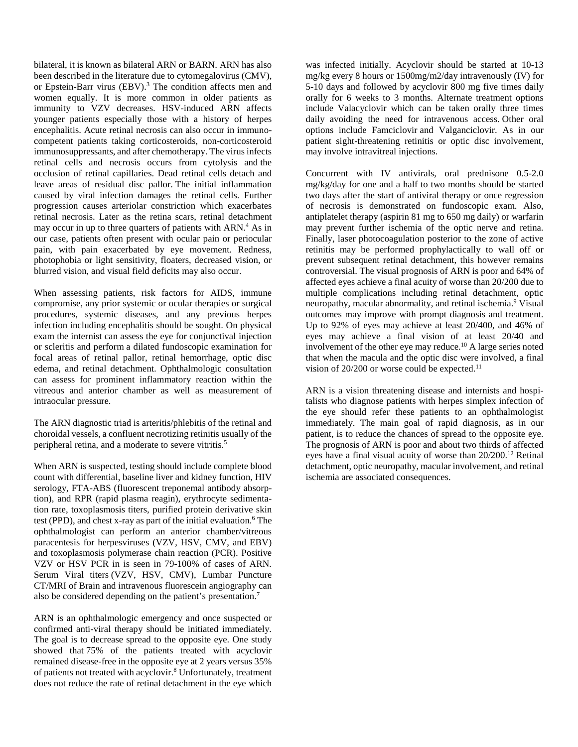bilateral, it is known as bilateral ARN or BARN. ARN has also been described in the literature due to cytomegalovirus (CMV), or Epstein-Barr virus (EBV).<sup>3</sup> The condition affects men and women equally. It is more common in older patients as immunity to VZV decreases. HSV-induced ARN affects younger patients especially those with a history of herpes encephalitis. Acute retinal necrosis can also occur in immunocompetent patients taking corticosteroids, non-corticosteroid immunosuppressants, and after chemotherapy. The virus infects retinal cells and necrosis occurs from cytolysis and the occlusion of retinal capillaries. Dead retinal cells detach and leave areas of residual disc pallor. The initial inflammation caused by viral infection damages the retinal cells. Further progression causes arteriolar constriction which exacerbates retinal necrosis. Later as the retina scars, retinal detachment may occur in up to three quarters of patients with ARN.<sup>4</sup> As in our case, patients often present with ocular pain or periocular pain, with pain exacerbated by eye movement. Redness, photophobia or light sensitivity, floaters, decreased vision, or blurred vision, and visual field deficits may also occur.

When assessing patients, risk factors for AIDS, immune compromise, any prior systemic or ocular therapies or surgical procedures, systemic diseases, and any previous herpes infection including encephalitis should be sought. On physical exam the internist can assess the eye for conjunctival injection or scleritis and perform a dilated fundoscopic examination for focal areas of retinal pallor, retinal hemorrhage, optic disc edema, and retinal detachment. Ophthalmologic consultation can assess for prominent inflammatory reaction within the vitreous and anterior chamber as well as measurement of intraocular pressure.

The ARN diagnostic triad is arteritis/phlebitis of the retinal and choroidal vessels, a confluent necrotizing retinitis usually of the peripheral retina, and a moderate to severe vitritis.5

When ARN is suspected, testing should include complete blood count with differential, baseline liver and kidney function, HIV serology, FTA-ABS (fluorescent treponemal antibody absorption), and RPR (rapid plasma reagin), erythrocyte sedimentation rate, toxoplasmosis titers, purified protein derivative skin test (PPD), and chest x-ray as part of the initial evaluation.<sup>6</sup> The ophthalmologist can perform an anterior chamber/vitreous paracentesis for herpesviruses (VZV, HSV, CMV, and EBV) and toxoplasmosis polymerase chain reaction (PCR). Positive VZV or HSV PCR in is seen in 79-100% of cases of ARN. Serum Viral titers (VZV, HSV, CMV), Lumbar Puncture CT/MRI of Brain and intravenous fluorescein angiography can also be considered depending on the patient's presentation.7

ARN is an ophthalmologic emergency and once suspected or confirmed anti-viral therapy should be initiated immediately. The goal is to decrease spread to the opposite eye. One study showed that 75% of the patients treated with acyclovir remained disease-free in the opposite eye at 2 years versus 35% of patients not treated with acyclovir.8 Unfortunately, treatment does not reduce the rate of retinal detachment in the eye which was infected initially. Acyclovir should be started at 10-13 mg/kg every 8 hours or 1500mg/m2/day intravenously (IV) for 5-10 days and followed by acyclovir 800 mg five times daily orally for 6 weeks to 3 months. Alternate treatment options include Valacyclovir which can be taken orally three times daily avoiding the need for intravenous access. Other oral options include Famciclovir and Valganciclovir. As in our patient sight-threatening retinitis or optic disc involvement, may involve intravitreal injections.

Concurrent with IV antivirals, oral prednisone 0.5-2.0 mg/kg/day for one and a half to two months should be started two days after the start of antiviral therapy or once regression of necrosis is demonstrated on fundoscopic exam. Also, antiplatelet therapy (aspirin 81 mg to 650 mg daily) or warfarin may prevent further ischemia of the optic nerve and retina. Finally, laser photocoagulation posterior to the zone of active retinitis may be performed prophylactically to wall off or prevent subsequent retinal detachment, this however remains controversial. The visual prognosis of ARN is poor and 64% of affected eyes achieve a final acuity of worse than 20/200 due to multiple complications including retinal detachment, optic neuropathy, macular abnormality, and retinal ischemia.<sup>9</sup> Visual outcomes may improve with prompt diagnosis and treatment. Up to 92% of eyes may achieve at least 20/400, and 46% of eyes may achieve a final vision of at least 20/40 and involvement of the other eye may reduce.<sup>10</sup> A large series noted that when the macula and the optic disc were involved, a final vision of  $20/200$  or worse could be expected.<sup>11</sup>

ARN is a vision threatening disease and internists and hospitalists who diagnose patients with herpes simplex infection of the eye should refer these patients to an ophthalmologist immediately. The main goal of rapid diagnosis, as in our patient, is to reduce the chances of spread to the opposite eye. The prognosis of ARN is poor and about two thirds of affected eyes have a final visual acuity of worse than 20/200.12 Retinal detachment, optic neuropathy, macular involvement, and retinal ischemia are associated consequences.